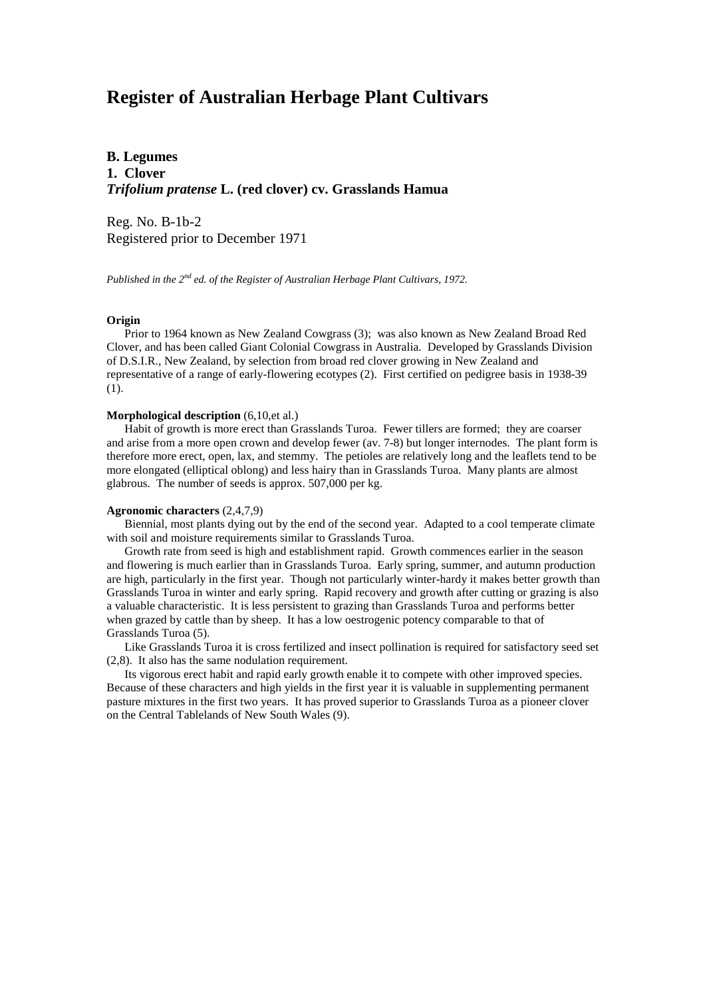# **Register of Australian Herbage Plant Cultivars**

**B. Legumes 1. Clover** *Trifolium pratense* **L. (red clover) cv. Grasslands Hamua**

Reg. No. B-1b-2 Registered prior to December 1971

*Published in the 2nd ed. of the Register of Australian Herbage Plant Cultivars, 1972.*

## **Origin**

 Prior to 1964 known as New Zealand Cowgrass (3); was also known as New Zealand Broad Red Clover, and has been called Giant Colonial Cowgrass in Australia. Developed by Grasslands Division of D.S.I.R., New Zealand, by selection from broad red clover growing in New Zealand and representative of a range of early-flowering ecotypes (2). First certified on pedigree basis in 1938-39 (1).

#### **Morphological description** (6,10,et al.)

 Habit of growth is more erect than Grasslands Turoa. Fewer tillers are formed; they are coarser and arise from a more open crown and develop fewer (av. 7-8) but longer internodes. The plant form is therefore more erect, open, lax, and stemmy. The petioles are relatively long and the leaflets tend to be more elongated (elliptical oblong) and less hairy than in Grasslands Turoa. Many plants are almost glabrous. The number of seeds is approx. 507,000 per kg.

## **Agronomic characters** (2,4,7,9)

 Biennial, most plants dying out by the end of the second year. Adapted to a cool temperate climate with soil and moisture requirements similar to Grasslands Turoa.

 Growth rate from seed is high and establishment rapid. Growth commences earlier in the season and flowering is much earlier than in Grasslands Turoa. Early spring, summer, and autumn production are high, particularly in the first year. Though not particularly winter-hardy it makes better growth than Grasslands Turoa in winter and early spring. Rapid recovery and growth after cutting or grazing is also a valuable characteristic. It is less persistent to grazing than Grasslands Turoa and performs better when grazed by cattle than by sheep. It has a low oestrogenic potency comparable to that of Grasslands Turoa (5).

 Like Grasslands Turoa it is cross fertilized and insect pollination is required for satisfactory seed set (2,8). It also has the same nodulation requirement.

 Its vigorous erect habit and rapid early growth enable it to compete with other improved species. Because of these characters and high yields in the first year it is valuable in supplementing permanent pasture mixtures in the first two years. It has proved superior to Grasslands Turoa as a pioneer clover on the Central Tablelands of New South Wales (9).